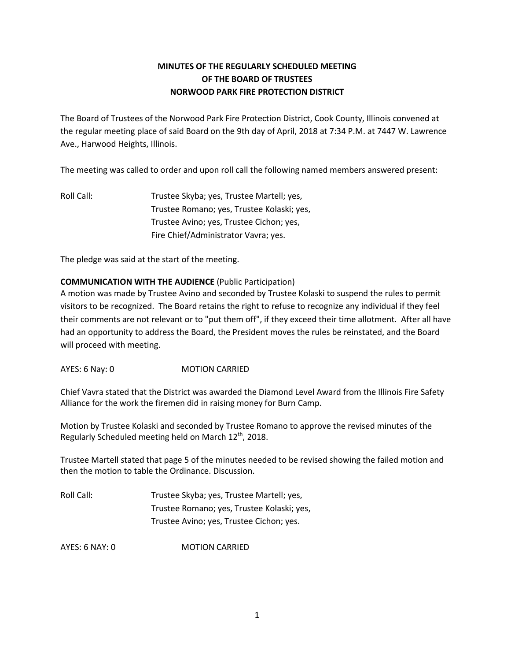## **MINUTES OF THE REGULARLY SCHEDULED MEETING OF THE BOARD OF TRUSTEES NORWOOD PARK FIRE PROTECTION DISTRICT**

The Board of Trustees of the Norwood Park Fire Protection District, Cook County, Illinois convened at the regular meeting place of said Board on the 9th day of April, 2018 at 7:34 P.M. at 7447 W. Lawrence Ave., Harwood Heights, Illinois.

The meeting was called to order and upon roll call the following named members answered present:

Roll Call: Trustee Skyba; yes, Trustee Martell; yes, Trustee Romano; yes, Trustee Kolaski; yes, Trustee Avino; yes, Trustee Cichon; yes, Fire Chief/Administrator Vavra; yes.

The pledge was said at the start of the meeting.

### **COMMUNICATION WITH THE AUDIENCE** (Public Participation)

A motion was made by Trustee Avino and seconded by Trustee Kolaski to suspend the rules to permit visitors to be recognized. The Board retains the right to refuse to recognize any individual if they feel their comments are not relevant or to "put them off", if they exceed their time allotment. After all have had an opportunity to address the Board, the President moves the rules be reinstated, and the Board will proceed with meeting.

AYES: 6 Nay: 0 MOTION CARRIED

Chief Vavra stated that the District was awarded the Diamond Level Award from the Illinois Fire Safety Alliance for the work the firemen did in raising money for Burn Camp.

Motion by Trustee Kolaski and seconded by Trustee Romano to approve the revised minutes of the Regularly Scheduled meeting held on March  $12^{th}$ , 2018.

Trustee Martell stated that page 5 of the minutes needed to be revised showing the failed motion and then the motion to table the Ordinance. Discussion.

| Roll Call: | Trustee Skyba; yes, Trustee Martell; yes,  |
|------------|--------------------------------------------|
|            | Trustee Romano; yes, Trustee Kolaski; yes, |
|            | Trustee Avino; yes, Trustee Cichon; yes.   |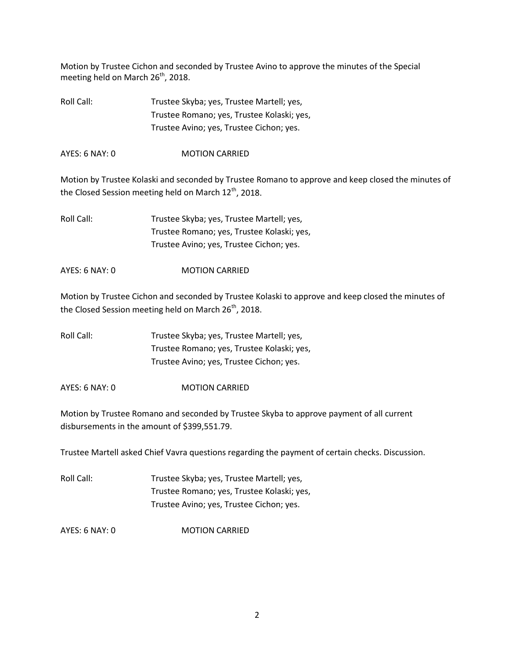Motion by Trustee Cichon and seconded by Trustee Avino to approve the minutes of the Special meeting held on March 26<sup>th</sup>, 2018.

Roll Call: Trustee Skyba; yes, Trustee Martell; yes, Trustee Romano; yes, Trustee Kolaski; yes, Trustee Avino; yes, Trustee Cichon; yes.

AYES: 6 NAY: 0 MOTION CARRIED

Motion by Trustee Kolaski and seconded by Trustee Romano to approve and keep closed the minutes of the Closed Session meeting held on March 12<sup>th</sup>, 2018.

Roll Call: Trustee Skyba; yes, Trustee Martell; yes, Trustee Romano; yes, Trustee Kolaski; yes, Trustee Avino; yes, Trustee Cichon; yes.

AYES: 6 NAY: 0 MOTION CARRIED

Motion by Trustee Cichon and seconded by Trustee Kolaski to approve and keep closed the minutes of the Closed Session meeting held on March  $26<sup>th</sup>$ , 2018.

Roll Call: Trustee Skyba; yes, Trustee Martell; yes, Trustee Romano; yes, Trustee Kolaski; yes, Trustee Avino; yes, Trustee Cichon; yes.

AYES: 6 NAY: 0 MOTION CARRIED

Motion by Trustee Romano and seconded by Trustee Skyba to approve payment of all current disbursements in the amount of \$399,551.79.

Trustee Martell asked Chief Vavra questions regarding the payment of certain checks. Discussion.

| Roll Call: | Trustee Skyba; yes, Trustee Martell; yes,  |
|------------|--------------------------------------------|
|            | Trustee Romano; yes, Trustee Kolaski; yes, |
|            | Trustee Avino; yes, Trustee Cichon; yes.   |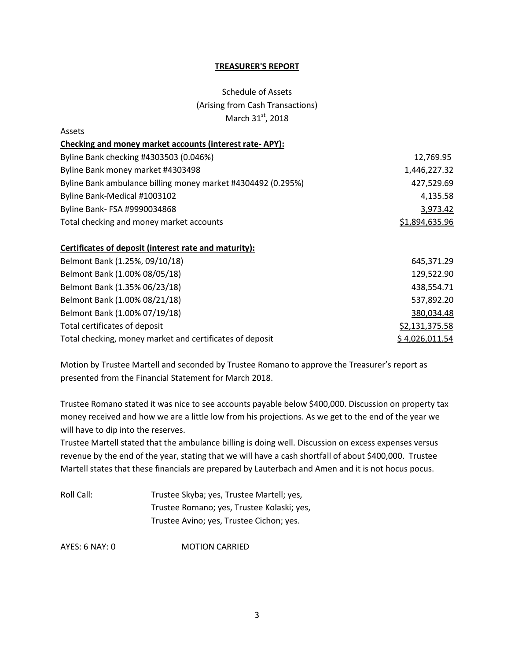#### **TREASURER'S REPORT**

# Schedule of Assets (Arising from Cash Transactions) March 31st, 2018

| Assets                                                       |                |
|--------------------------------------------------------------|----------------|
| Checking and money market accounts (interest rate-APY):      |                |
| Byline Bank checking #4303503 (0.046%)                       | 12,769.95      |
| Byline Bank money market #4303498                            | 1,446,227.32   |
| Byline Bank ambulance billing money market #4304492 (0.295%) | 427,529.69     |
| Byline Bank-Medical #1003102                                 | 4,135.58       |
| Byline Bank- FSA #9990034868                                 | 3,973.42       |
| Total checking and money market accounts                     | \$1,894,635.96 |
| Certificates of deposit (interest rate and maturity):        |                |
| Belmont Bank (1.25%, 09/10/18)                               | 645,371.29     |
| Belmont Bank (1.00% 08/05/18)                                | 129,522.90     |
| Belmont Bank (1.35% 06/23/18)                                | 438,554.71     |
| Belmont Bank (1.00% 08/21/18)                                | 537,892.20     |
|                                                              |                |

Belmont Bank (1.00% 07/19/18) 380,034.48 Total certificates of deposit **by a strategies of the strategies of the strategies** of the strategies of the strategies of the strategies of the strategies of the strategies of the strategies of the strategies of the strat Total checking, money market and certificates of deposit  $$4,026,011.54$ 

Motion by Trustee Martell and seconded by Trustee Romano to approve the Treasurer's report as presented from the Financial Statement for March 2018.

Trustee Romano stated it was nice to see accounts payable below \$400,000. Discussion on property tax money received and how we are a little low from his projections. As we get to the end of the year we will have to dip into the reserves.

Trustee Martell stated that the ambulance billing is doing well. Discussion on excess expenses versus revenue by the end of the year, stating that we will have a cash shortfall of about \$400,000. Trustee Martell states that these financials are prepared by Lauterbach and Amen and it is not hocus pocus.

Roll Call: Trustee Skyba; yes, Trustee Martell; yes, Trustee Romano; yes, Trustee Kolaski; yes, Trustee Avino; yes, Trustee Cichon; yes.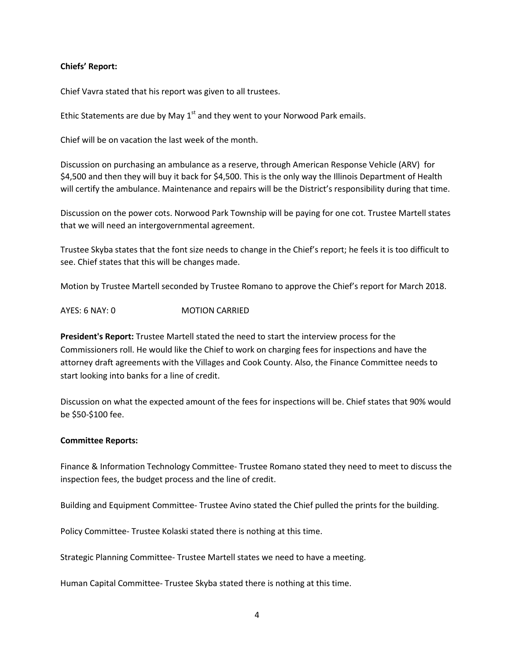#### **Chiefs' Report:**

Chief Vavra stated that his report was given to all trustees.

Ethic Statements are due by May  $1<sup>st</sup>$  and they went to your Norwood Park emails.

Chief will be on vacation the last week of the month.

Discussion on purchasing an ambulance as a reserve, through American Response Vehicle (ARV) for \$4,500 and then they will buy it back for \$4,500. This is the only way the Illinois Department of Health will certify the ambulance. Maintenance and repairs will be the District's responsibility during that time.

Discussion on the power cots. Norwood Park Township will be paying for one cot. Trustee Martell states that we will need an intergovernmental agreement.

Trustee Skyba states that the font size needs to change in the Chief's report; he feels it is too difficult to see. Chief states that this will be changes made.

Motion by Trustee Martell seconded by Trustee Romano to approve the Chief's report for March 2018.

AYES: 6 NAY: 0 MOTION CARRIED

**President's Report:** Trustee Martell stated the need to start the interview process for the Commissioners roll. He would like the Chief to work on charging fees for inspections and have the attorney draft agreements with the Villages and Cook County. Also, the Finance Committee needs to start looking into banks for a line of credit.

Discussion on what the expected amount of the fees for inspections will be. Chief states that 90% would be \$50-\$100 fee.

#### **Committee Reports:**

Finance & Information Technology Committee- Trustee Romano stated they need to meet to discuss the inspection fees, the budget process and the line of credit.

Building and Equipment Committee- Trustee Avino stated the Chief pulled the prints for the building.

Policy Committee- Trustee Kolaski stated there is nothing at this time.

Strategic Planning Committee- Trustee Martell states we need to have a meeting.

Human Capital Committee- Trustee Skyba stated there is nothing at this time.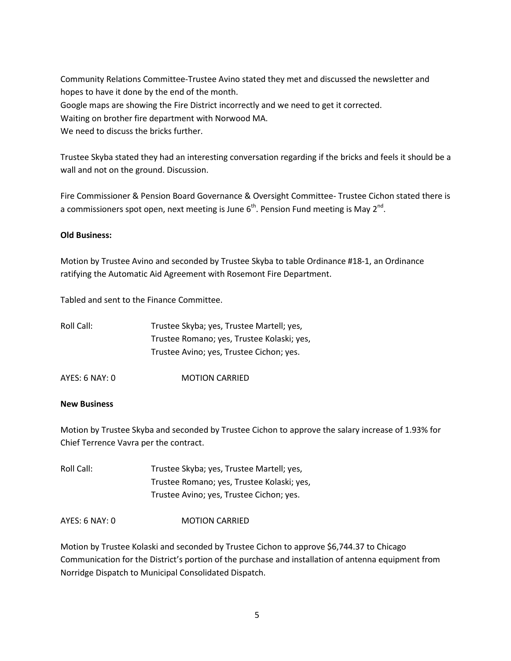Community Relations Committee-Trustee Avino stated they met and discussed the newsletter and hopes to have it done by the end of the month. Google maps are showing the Fire District incorrectly and we need to get it corrected. Waiting on brother fire department with Norwood MA.

We need to discuss the bricks further.

Trustee Skyba stated they had an interesting conversation regarding if the bricks and feels it should be a wall and not on the ground. Discussion.

Fire Commissioner & Pension Board Governance & Oversight Committee- Trustee Cichon stated there is a commissioners spot open, next meeting is June  $6<sup>th</sup>$ . Pension Fund meeting is May 2<sup>nd</sup>.

#### **Old Business:**

Motion by Trustee Avino and seconded by Trustee Skyba to table Ordinance #18-1, an Ordinance ratifying the Automatic Aid Agreement with Rosemont Fire Department.

Tabled and sent to the Finance Committee.

| Roll Call: | Trustee Skyba; yes, Trustee Martell; yes,  |
|------------|--------------------------------------------|
|            | Trustee Romano; yes, Trustee Kolaski; yes, |
|            | Trustee Avino; yes, Trustee Cichon; yes.   |

AYES: 6 NAY: 0 MOTION CARRIED

#### **New Business**

Motion by Trustee Skyba and seconded by Trustee Cichon to approve the salary increase of 1.93% for Chief Terrence Vavra per the contract.

Roll Call: Trustee Skyba; yes, Trustee Martell; yes, Trustee Romano; yes, Trustee Kolaski; yes, Trustee Avino; yes, Trustee Cichon; yes.

AYES: 6 NAY: 0 MOTION CARRIED

Motion by Trustee Kolaski and seconded by Trustee Cichon to approve \$6,744.37 to Chicago Communication for the District's portion of the purchase and installation of antenna equipment from Norridge Dispatch to Municipal Consolidated Dispatch.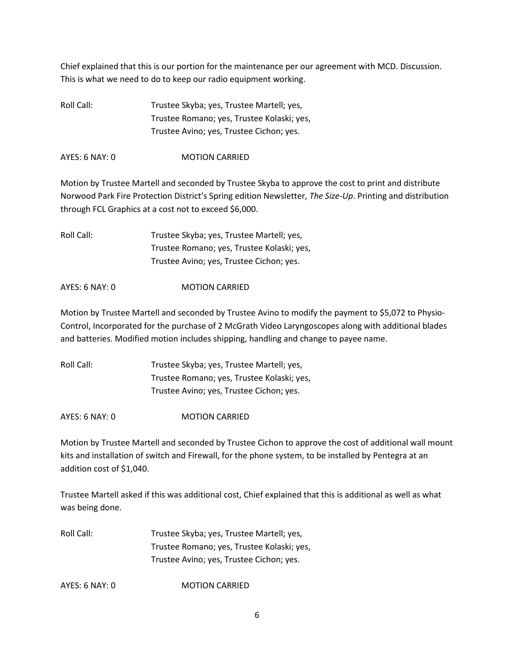Chief explained that this is our portion for the maintenance per our agreement with MCD. Discussion. This is what we need to do to keep our radio equipment working.

Roll Call: Trustee Skyba; yes, Trustee Martell; yes, Trustee Romano; yes, Trustee Kolaski; yes, Trustee Avino; yes, Trustee Cichon; yes.

AYES: 6 NAY: 0 **MOTION CARRIED** 

Motion by Trustee Martell and seconded by Trustee Skyba to approve the cost to print and distribute Norwood Park Fire Protection District's Spring edition Newsletter, *The Size-Up*. Printing and distribution through FCL Graphics at a cost not to exceed \$6,000.

Roll Call: Trustee Skyba; yes, Trustee Martell; yes, Trustee Romano; yes, Trustee Kolaski; yes, Trustee Avino; yes, Trustee Cichon; yes.

AYES: 6 NAY: 0 **MOTION CARRIED** 

Motion by Trustee Martell and seconded by Trustee Avino to modify the payment to \$5,072 to Physio-Control, Incorporated for the purchase of 2 McGrath Video Laryngoscopes along with additional blades and batteries. Modified motion includes shipping, handling and change to payee name.

| Roll Call: | Trustee Skyba; yes, Trustee Martell; yes,  |
|------------|--------------------------------------------|
|            | Trustee Romano; yes, Trustee Kolaski; yes, |
|            | Trustee Avino; yes, Trustee Cichon; yes.   |

AYES: 6 NAY: 0 MOTION CARRIED

Motion by Trustee Martell and seconded by Trustee Cichon to approve the cost of additional wall mount kits and installation of switch and Firewall, for the phone system, to be installed by Pentegra at an addition cost of \$1,040.

Trustee Martell asked if this was additional cost, Chief explained that this is additional as well as what was being done.

Roll Call: Trustee Skyba; yes, Trustee Martell; yes, Trustee Romano; yes, Trustee Kolaski; yes, Trustee Avino; yes, Trustee Cichon; yes.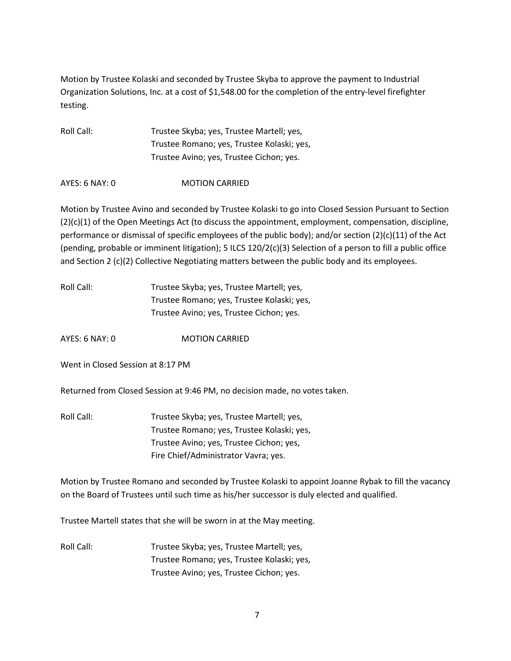Motion by Trustee Kolaski and seconded by Trustee Skyba to approve the payment to Industrial Organization Solutions, Inc. at a cost of \$1,548.00 for the completion of the entry-level firefighter testing.

| Roll Call: | Trustee Skyba; yes, Trustee Martell; yes,  |
|------------|--------------------------------------------|
|            | Trustee Romano; yes, Trustee Kolaski; yes, |
|            | Trustee Avino; yes, Trustee Cichon; yes.   |

AYES: 6 NAY: 0 MOTION CARRIED

Motion by Trustee Avino and seconded by Trustee Kolaski to go into Closed Session Pursuant to Section (2)(c)(1) of the Open Meetings Act (to discuss the appointment, employment, compensation, discipline, performance or dismissal of specific employees of the public body); and/or section (2)(c)(11) of the Act (pending, probable or imminent litigation); 5 ILCS 120/2(c)(3) Selection of a person to fill a public office and Section 2 (c)(2) Collective Negotiating matters between the public body and its employees.

| Roll Call: | Trustee Skyba; yes, Trustee Martell; yes,  |
|------------|--------------------------------------------|
|            | Trustee Romano; yes, Trustee Kolaski; yes, |
|            | Trustee Avino; yes, Trustee Cichon; yes.   |

AYES: 6 NAY: 0 MOTION CARRIED

Went in Closed Session at 8:17 PM

Returned from Closed Session at 9:46 PM, no decision made, no votes taken.

Roll Call: Trustee Skyba; yes, Trustee Martell; yes, Trustee Romano; yes, Trustee Kolaski; yes, Trustee Avino; yes, Trustee Cichon; yes, Fire Chief/Administrator Vavra; yes.

Motion by Trustee Romano and seconded by Trustee Kolaski to appoint Joanne Rybak to fill the vacancy on the Board of Trustees until such time as his/her successor is duly elected and qualified.

Trustee Martell states that she will be sworn in at the May meeting.

Roll Call: Trustee Skyba; yes, Trustee Martell; yes, Trustee Romano; yes, Trustee Kolaski; yes, Trustee Avino; yes, Trustee Cichon; yes.